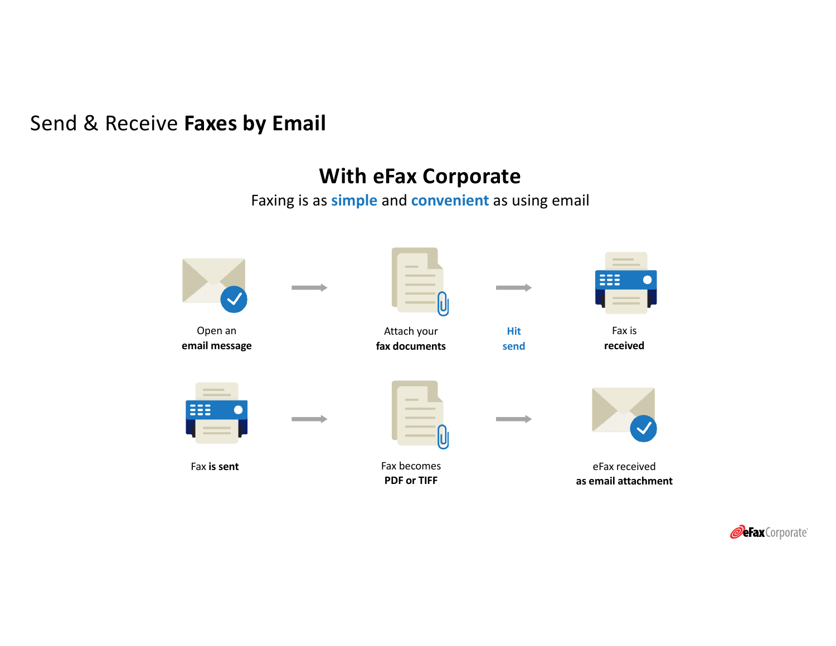# Send & Receive **Faxes by Email**

# **With eFax Corporate**

Faxing is as **simple** and **convenient** as using email



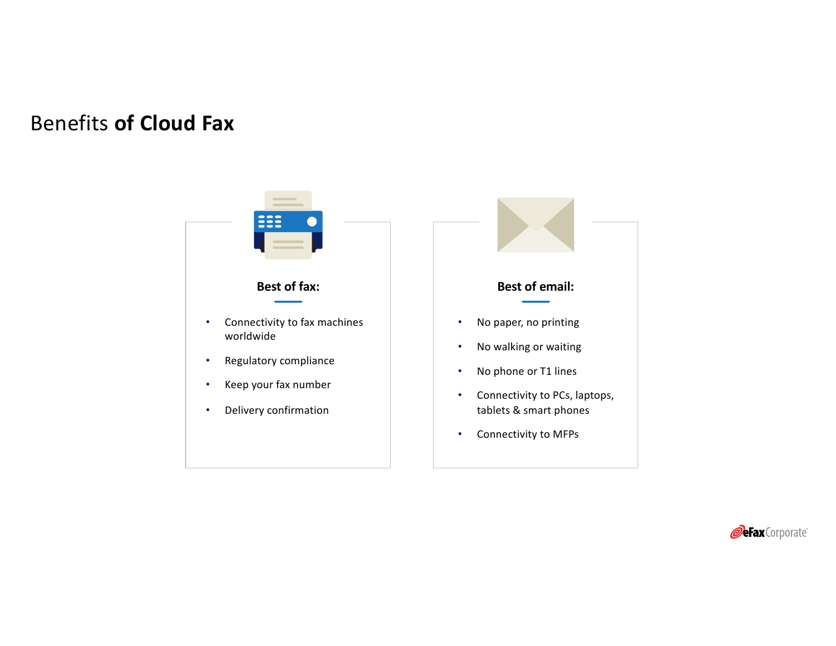# Benefits **of Cloud Fax**



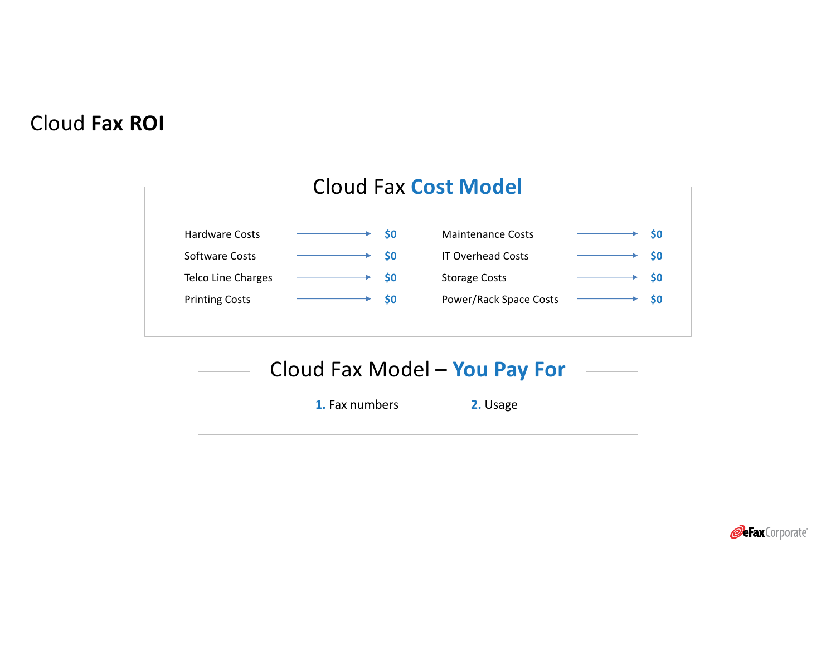# Cloud **Fax ROI**



**1.** Fax numbers **2.** Usage

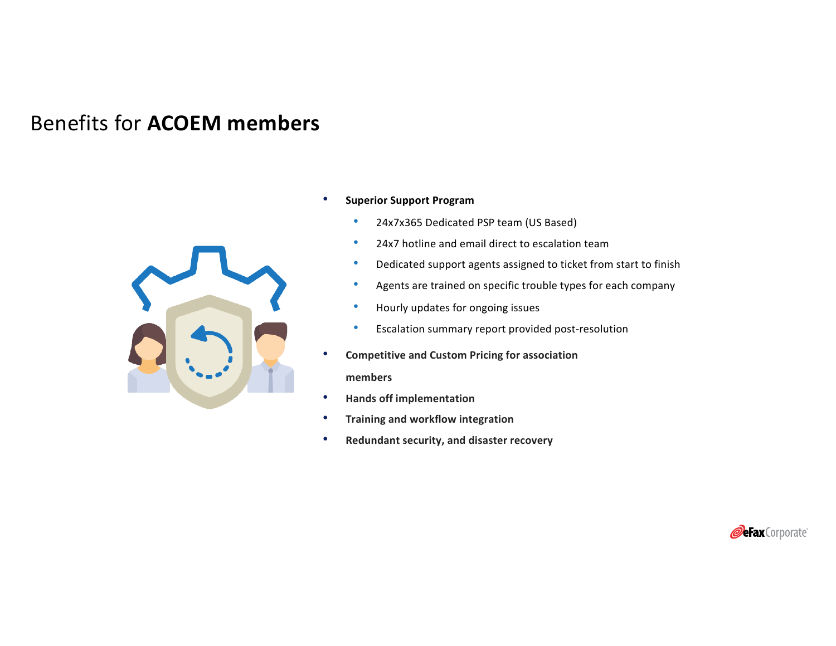## Benefits for **ACOEM members**



- **Superior Support Program** 
	- 24x7x365 Dedicated PSP team (US Based)
	- 24x7 hotline and email direct to escalation team
	- Dedicated support agents assigned to ticket from start to finish
	- Agents are trained on specific trouble types for each company
	- Hourly updates for ongoing issues
	- Escalation summary report provided post-resolution
- **Competitive and Custom Pricing for association**

**members**

- **Hands off implementation**
- **Training and workflow integration**
- **Redundant security, and disaster recovery**